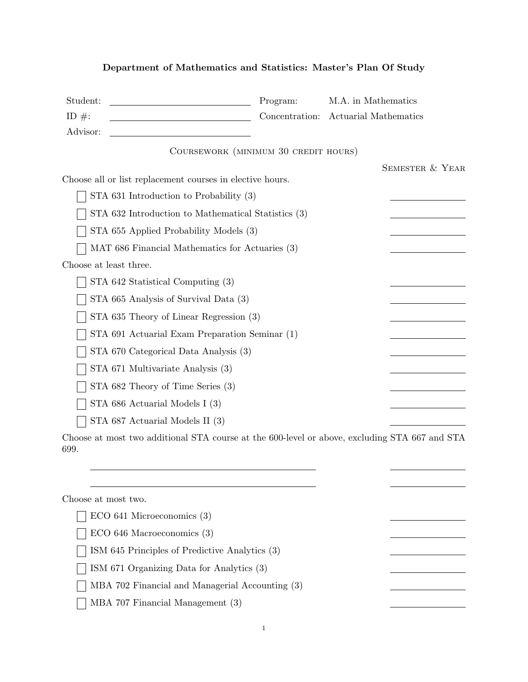## Department of Mathematics and Statistics: Master's Plan Of Study

| Student:                                                                                              | Program:       | M.A. in Mathematics        |
|-------------------------------------------------------------------------------------------------------|----------------|----------------------------|
| ID $\#$ :                                                                                             | Concentration: | Actuarial Mathematics      |
| Advisor:                                                                                              |                |                            |
| COURSEWORK (MINIMUM 30 CREDIT HOURS)                                                                  |                |                            |
|                                                                                                       |                | <b>SEMESTER &amp; YEAR</b> |
| Choose all or list replacement courses in elective hours.                                             |                |                            |
| STA 631 Introduction to Probability $(3)$                                                             |                |                            |
| STA 632 Introduction to Mathematical Statistics (3)                                                   |                |                            |
| STA 655 Applied Probability Models (3)                                                                |                |                            |
| MAT 686 Financial Mathematics for Actuaries (3)                                                       |                |                            |
| Choose at least three.                                                                                |                |                            |
| STA 642 Statistical Computing (3)                                                                     |                |                            |
| STA 665 Analysis of Survival Data (3)                                                                 |                |                            |
| STA 635 Theory of Linear Regression (3)                                                               |                |                            |
| STA 691 Actuarial Exam Preparation Seminar (1)                                                        |                |                            |
| STA 670 Categorical Data Analysis (3)                                                                 |                |                            |
| STA 671 Multivariate Analysis (3)                                                                     |                |                            |
| STA 682 Theory of Time Series (3)                                                                     |                |                            |
| STA 686 Actuarial Models I (3)                                                                        |                |                            |
| STA 687 Actuarial Models II (3)                                                                       |                |                            |
| Choose at most two additional STA course at the 600-level or above, excluding STA 667 and STA<br>699. |                |                            |
|                                                                                                       |                |                            |
|                                                                                                       |                |                            |
| Choose at most two.                                                                                   |                |                            |
| $ECO$ 641 Microeconomics $(3)$                                                                        |                |                            |

ECO 646 Macroeconomics (3)  $\Box$  ISM 645 Principles of Predictive Analytics (3) ISM 671 Organizing Data for Analytics (3)

MBA 702 Financial and Managerial Accounting (3)

MBA 707 Financial Management (3)  $\perp$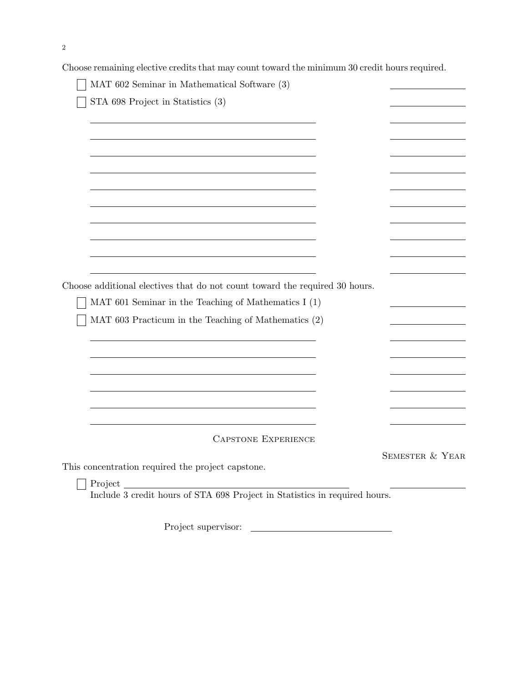Choose remaining elective credits that may count toward the minimum 30 credit hours required.

| STA 698 Project in Statistics (3)                                           |                 |
|-----------------------------------------------------------------------------|-----------------|
|                                                                             |                 |
|                                                                             |                 |
|                                                                             |                 |
|                                                                             |                 |
|                                                                             |                 |
|                                                                             |                 |
|                                                                             |                 |
|                                                                             |                 |
|                                                                             |                 |
|                                                                             |                 |
| Choose additional electives that do not count toward the required 30 hours. |                 |
| MAT 601 Seminar in the Teaching of Mathematics I $(1)$                      |                 |
| MAT 603 Practicum in the Teaching of Mathematics (2)                        |                 |
|                                                                             |                 |
|                                                                             |                 |
|                                                                             |                 |
|                                                                             |                 |
|                                                                             |                 |
|                                                                             |                 |
| <b>CAPSTONE EXPERIENCE</b>                                                  |                 |
| This concentration required the project capstone.                           | SEMESTER & YEAR |

Project supervisor: